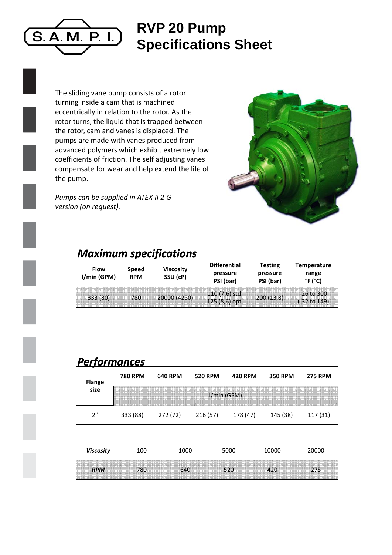

## **RVP 20 P Pump Specifications Sheet**

The sliding vane pump consists of a rotor turning inside a cam that is machined eccentrically in relation to the rotor. As the rotor turns, the liquid that is trapped between the rotor, cam and vanes is displaced. The pumps are made with vanes produced from advanced polymers which exhibit extremely low coefficients of friction. The self adjusting vanes compensate for wear and help extend the life of the pump.

*Pumps can be supplied in ATEX II 2 G version (on request).*



## *Maximum specifications s*

| <b>Flow</b><br>I/min (GPM) | <b>Viscosity</b><br>Speed<br>SSU (cP)<br><b>RPM</b> |              | <b>Differential</b><br>pressure<br>PSI (bar) | Testing<br>pressure<br>PSI (bar) | <b>Temperature</b><br>range<br>°F (°C)  |  |
|----------------------------|-----------------------------------------------------|--------------|----------------------------------------------|----------------------------------|-----------------------------------------|--|
| 333 (80)                   | 780                                                 | 20000 (4250) | $110(7,6)$ std.<br>$125(8,6)$ opt.           | 200(13,8)                        | $-26$ to 300<br>$(-32 \text{ to } 149)$ |  |

## *Performances*

| <b>Flange</b>    | <b>780 RPM</b> | <b>640 RPM</b> | <b>520 RPM</b> | <b>420 RPM</b> | <b>350 RPM</b> | <b>275 RPM</b> |  |  |  |
|------------------|----------------|----------------|----------------|----------------|----------------|----------------|--|--|--|
| size             | I/min (GPM)    |                |                |                |                |                |  |  |  |
| 2"               | 333 (88)       | 272 (72)       | 216(57)        | 178 (47)       | 145 (38)       | 117 (31)       |  |  |  |
|                  |                |                |                |                |                |                |  |  |  |
| <b>Viscosity</b> | 100            | 1000           |                | 5000           | 10000          | 20000          |  |  |  |
| <b>RPM</b>       | 780            | 640            |                | 520            | 420            | 275            |  |  |  |